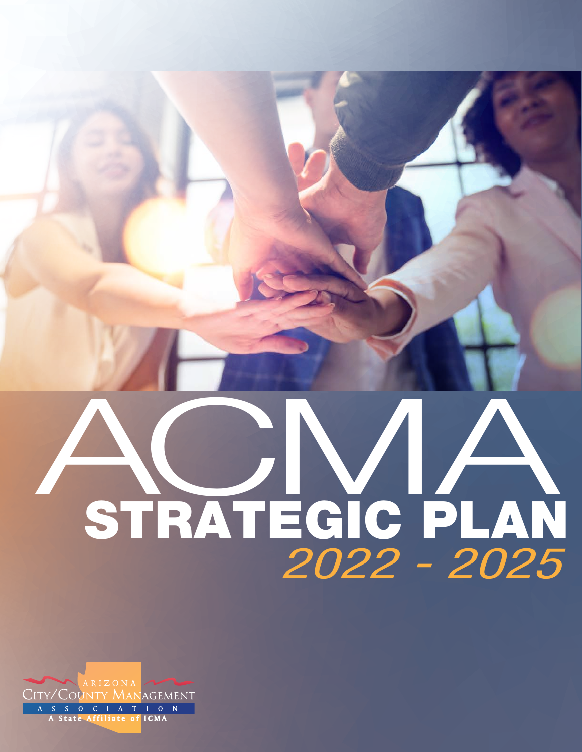# *2022 - 2025* A STRATEGIC PLAN **CMA**

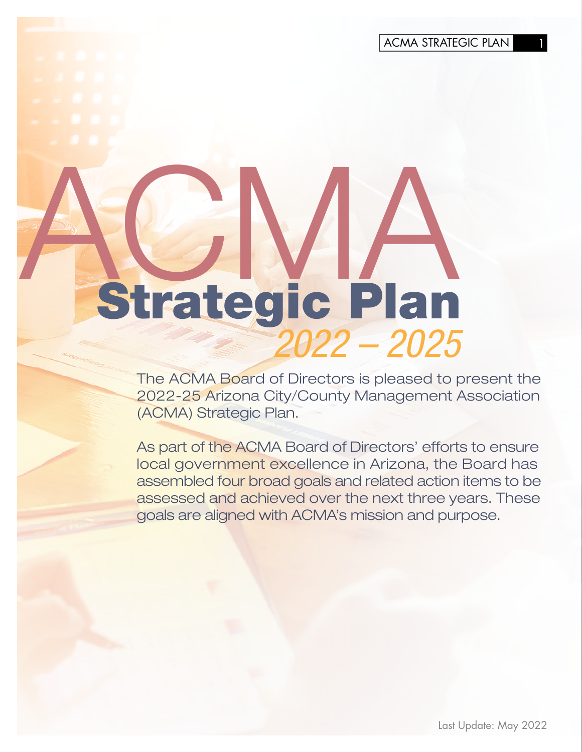ACMA STRATEGIC PLAN 1

# ACMA Strategic Plan *2022 – 2025*

The ACMA Board of Directors is pleased to present the 2022-25 Arizona City/County Management Association (ACMA) Strategic Plan.

As part of the ACMA Board of Directors' efforts to ensure local government excellence in Arizona, the Board has assembled four broad goals and related action items to be assessed and achieved over the next three years. These goals are aligned with ACMA's mission and purpose.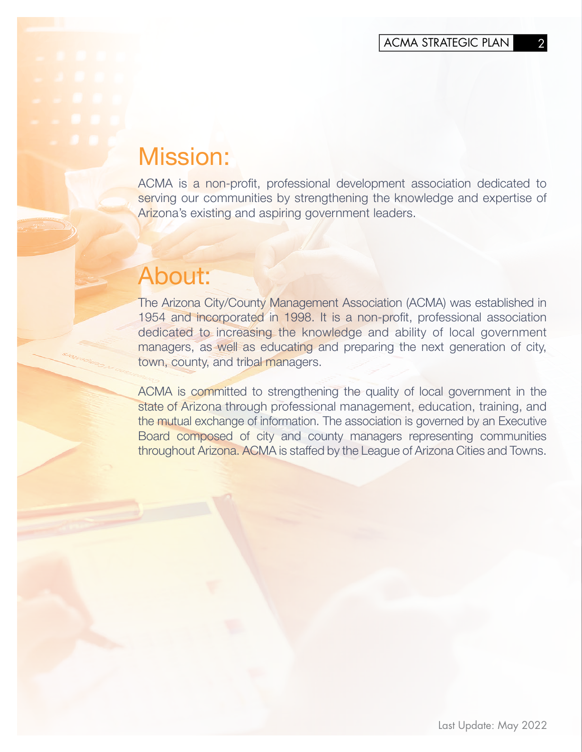### Mission:

ACMA is a non-profit, professional development association dedicated to serving our communities by strengthening the knowledge and expertise of Arizona's existing and aspiring government leaders.

## About:

The Arizona City/County Management Association (ACMA) was established in 1954 and incorporated in 1998. It is a non-profit, professional association dedicated to increasing the knowledge and ability of local government managers, as well as educating and preparing the next generation of city, town, county, and tribal managers.

ACMA is committed to strengthening the quality of local government in the state of Arizona through professional management, education, training, and the mutual exchange of information. The association is governed by an Executive Board composed of city and county managers representing communities throughout Arizona. ACMA is staffed by the League of Arizona Cities and Towns.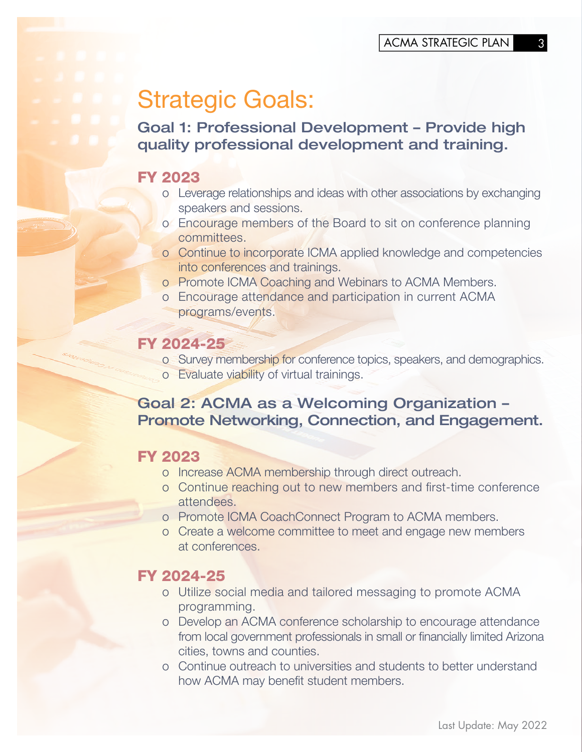# Strategic Goals:

Goal 1: Professional Development – Provide high quality professional development and training.

#### FY 2023

- o Leverage relationships and ideas with other associations by exchanging speakers and sessions.
- o Encourage members of the Board to sit on conference planning committees.
- o Continue to incorporate ICMA applied knowledge and competencies into conferences and trainings.
- o Promote ICMA Coaching and Webinars to ACMA Members.
- o Encourage attendance and participation in current ACMA programs/events.

#### FY 2024-25

- o Survey membership for conference topics, speakers, and demographics.
- o Evaluate viability of virtual trainings.

#### Goal 2: ACMA as a Welcoming Organization – Promote Networking, Connection, and Engagement.

#### FY 2023

- o Increase ACMA membership through direct outreach.
- o Continue reaching out to new members and first-time conference attendees.
- o Promote ICMA CoachConnect Program to ACMA members.
- o Create a welcome committee to meet and engage new members at conferences.

#### FY 2024-25

- o Utilize social media and tailored messaging to promote ACMA programming.
- o Develop an ACMA conference scholarship to encourage attendance from local government professionals in small or financially limited Arizona cities, towns and counties.
- o Continue outreach to universities and students to better understand how ACMA may benefit student members.